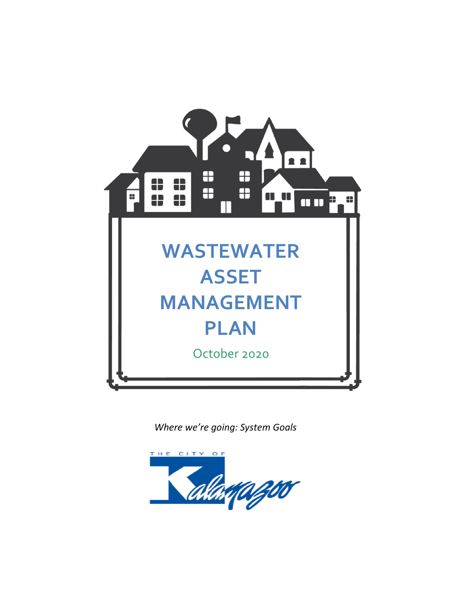

*Where we're going: System Goals* 

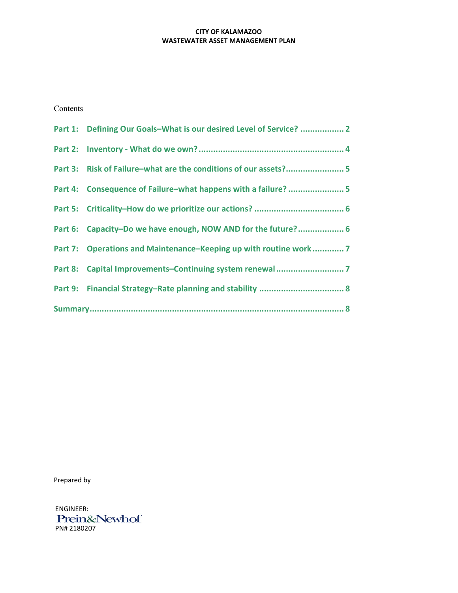Contents

|  | Part 1: Defining Our Goals-What is our desired Level of Service?  2 |
|--|---------------------------------------------------------------------|
|  |                                                                     |
|  |                                                                     |
|  | Part 4: Consequence of Failure-what happens with a failure?  5      |
|  |                                                                     |
|  | Part 6: Capacity-Do we have enough, NOW AND for the future? 6       |
|  | Part 7: Operations and Maintenance-Keeping up with routine work7    |
|  |                                                                     |
|  |                                                                     |
|  |                                                                     |

Prepared by

ENGINEER: Prein&Newhof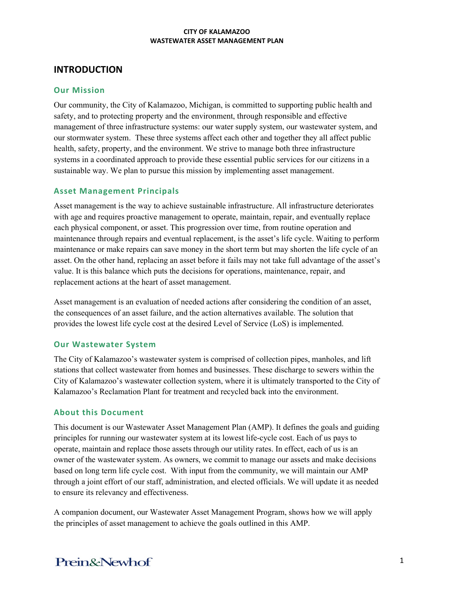## **INTRODUCTION**

### **Our Mission**

Our community, the City of Kalamazoo, Michigan, is committed to supporting public health and safety, and to protecting property and the environment, through responsible and effective management of three infrastructure systems: our water supply system, our wastewater system, and our stormwater system. These three systems affect each other and together they all affect public health, safety, property, and the environment. We strive to manage both three infrastructure systems in a coordinated approach to provide these essential public services for our citizens in a sustainable way. We plan to pursue this mission by implementing asset management.

### **Asset Management Principals**

Asset management is the way to achieve sustainable infrastructure. All infrastructure deteriorates with age and requires proactive management to operate, maintain, repair, and eventually replace each physical component, or asset. This progression over time, from routine operation and maintenance through repairs and eventual replacement, is the asset's life cycle. Waiting to perform maintenance or make repairs can save money in the short term but may shorten the life cycle of an asset. On the other hand, replacing an asset before it fails may not take full advantage of the asset's value. It is this balance which puts the decisions for operations, maintenance, repair, and replacement actions at the heart of asset management.

Asset management is an evaluation of needed actions after considering the condition of an asset, the consequences of an asset failure, and the action alternatives available. The solution that provides the lowest life cycle cost at the desired Level of Service (LoS) is implemented.

### **Our Wastewater System**

The City of Kalamazoo's wastewater system is comprised of collection pipes, manholes, and lift stations that collect wastewater from homes and businesses. These discharge to sewers within the City of Kalamazoo's wastewater collection system, where it is ultimately transported to the City of Kalamazoo's Reclamation Plant for treatment and recycled back into the environment.

### **About this Document**

This document is our Wastewater Asset Management Plan (AMP). It defines the goals and guiding principles for running our wastewater system at its lowest life-cycle cost. Each of us pays to operate, maintain and replace those assets through our utility rates. In effect, each of us is an owner of the wastewater system. As owners, we commit to manage our assets and make decisions based on long term life cycle cost. With input from the community, we will maintain our AMP through a joint effort of our staff, administration, and elected officials. We will update it as needed to ensure its relevancy and effectiveness.

A companion document, our Wastewater Asset Management Program, shows how we will apply the principles of asset management to achieve the goals outlined in this AMP.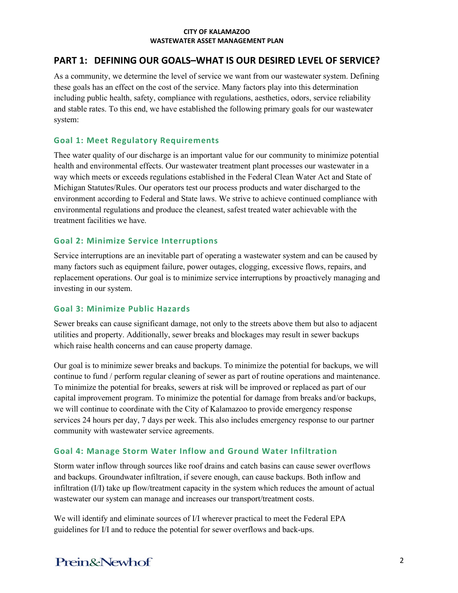# **PART 1: DEFINING OUR GOALS–WHAT IS OUR DESIRED LEVEL OF SERVICE?**

As a community, we determine the level of service we want from our wastewater system. Defining these goals has an effect on the cost of the service. Many factors play into this determination including public health, safety, compliance with regulations, aesthetics, odors, service reliability and stable rates. To this end, we have established the following primary goals for our wastewater system:

## **Goal 1: Meet Regulatory Requirements**

Thee water quality of our discharge is an important value for our community to minimize potential health and environmental effects. Our wastewater treatment plant processes our wastewater in a way which meets or exceeds regulations established in the Federal Clean Water Act and State of Michigan Statutes/Rules. Our operators test our process products and water discharged to the environment according to Federal and State laws. We strive to achieve continued compliance with environmental regulations and produce the cleanest, safest treated water achievable with the treatment facilities we have.

### **Goal 2: Minimize Service Interruptions**

Service interruptions are an inevitable part of operating a wastewater system and can be caused by many factors such as equipment failure, power outages, clogging, excessive flows, repairs, and replacement operations. Our goal is to minimize service interruptions by proactively managing and investing in our system.

## **Goal 3: Minimize Public Hazards**

Sewer breaks can cause significant damage, not only to the streets above them but also to adjacent utilities and property. Additionally, sewer breaks and blockages may result in sewer backups which raise health concerns and can cause property damage.

Our goal is to minimize sewer breaks and backups. To minimize the potential for backups, we will continue to fund / perform regular cleaning of sewer as part of routine operations and maintenance. To minimize the potential for breaks, sewers at risk will be improved or replaced as part of our capital improvement program. To minimize the potential for damage from breaks and/or backups, we will continue to coordinate with the City of Kalamazoo to provide emergency response services 24 hours per day, 7 days per week. This also includes emergency response to our partner community with wastewater service agreements.

## **Goal 4: Manage Storm Water Inflow and Ground Water Infiltration**

Storm water inflow through sources like roof drains and catch basins can cause sewer overflows and backups. Groundwater infiltration, if severe enough, can cause backups. Both inflow and infiltration (I/I) take up flow/treatment capacity in the system which reduces the amount of actual wastewater our system can manage and increases our transport/treatment costs.

We will identify and eliminate sources of I/I wherever practical to meet the Federal EPA guidelines for I/I and to reduce the potential for sewer overflows and back-ups.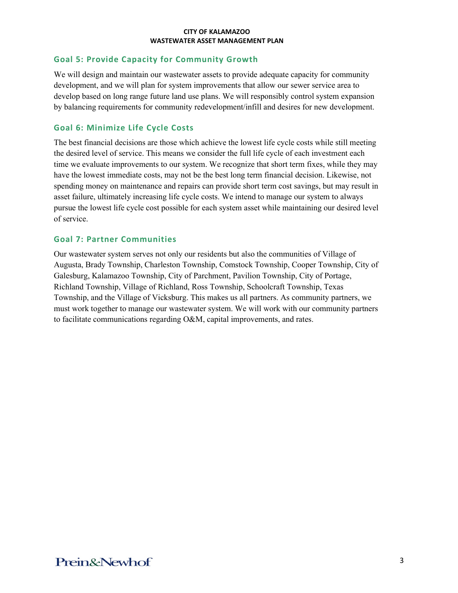### **Goal 5: Provide Capacity for Community Growth**

We will design and maintain our wastewater assets to provide adequate capacity for community development, and we will plan for system improvements that allow our sewer service area to develop based on long range future land use plans. We will responsibly control system expansion by balancing requirements for community redevelopment/infill and desires for new development.

### **Goal 6: Minimize Life Cycle Costs**

The best financial decisions are those which achieve the lowest life cycle costs while still meeting the desired level of service. This means we consider the full life cycle of each investment each time we evaluate improvements to our system. We recognize that short term fixes, while they may have the lowest immediate costs, may not be the best long term financial decision. Likewise, not spending money on maintenance and repairs can provide short term cost savings, but may result in asset failure, ultimately increasing life cycle costs. We intend to manage our system to always pursue the lowest life cycle cost possible for each system asset while maintaining our desired level of service.

### **Goal 7: Partner Communities**

Our wastewater system serves not only our residents but also the communities of Village of Augusta, Brady Township, Charleston Township, Comstock Township, Cooper Township, City of Galesburg, Kalamazoo Township, City of Parchment, Pavilion Township, City of Portage, Richland Township, Village of Richland, Ross Township, Schoolcraft Township, Texas Township, and the Village of Vicksburg. This makes us all partners. As community partners, we must work together to manage our wastewater system. We will work with our community partners to facilitate communications regarding O&M, capital improvements, and rates.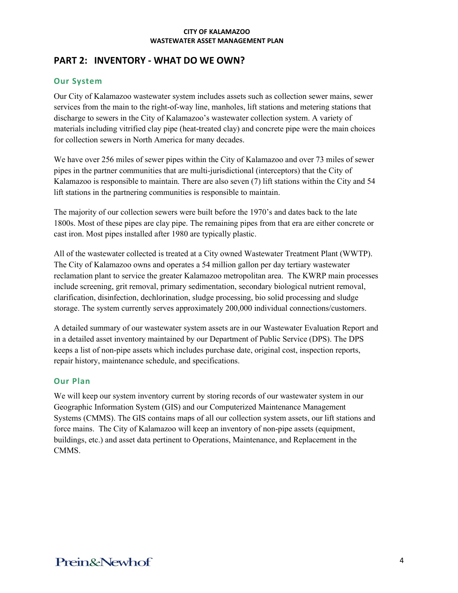# **PART 2: INVENTORY - WHAT DO WE OWN?**

### **Our System**

Our City of Kalamazoo wastewater system includes assets such as collection sewer mains, sewer services from the main to the right-of-way line, manholes, lift stations and metering stations that discharge to sewers in the City of Kalamazoo's wastewater collection system. A variety of materials including vitrified clay pipe (heat-treated clay) and concrete pipe were the main choices for collection sewers in North America for many decades.

We have over 256 miles of sewer pipes within the City of Kalamazoo and over 73 miles of sewer pipes in the partner communities that are multi-jurisdictional (interceptors) that the City of Kalamazoo is responsible to maintain. There are also seven (7) lift stations within the City and 54 lift stations in the partnering communities is responsible to maintain.

The majority of our collection sewers were built before the 1970's and dates back to the late 1800s. Most of these pipes are clay pipe. The remaining pipes from that era are either concrete or cast iron. Most pipes installed after 1980 are typically plastic.

All of the wastewater collected is treated at a City owned Wastewater Treatment Plant (WWTP). The City of Kalamazoo owns and operates a 54 million gallon per day tertiary wastewater reclamation plant to service the greater Kalamazoo metropolitan area. The KWRP main processes include screening, grit removal, primary sedimentation, secondary biological nutrient removal, clarification, disinfection, dechlorination, sludge processing, bio solid processing and sludge storage. The system currently serves approximately 200,000 individual connections/customers.

A detailed summary of our wastewater system assets are in our Wastewater Evaluation Report and in a detailed asset inventory maintained by our Department of Public Service (DPS). The DPS keeps a list of non-pipe assets which includes purchase date, original cost, inspection reports, repair history, maintenance schedule, and specifications.

### **Our Plan**

We will keep our system inventory current by storing records of our wastewater system in our Geographic Information System (GIS) and our Computerized Maintenance Management Systems (CMMS). The GIS contains maps of all our collection system assets, our lift stations and force mains. The City of Kalamazoo will keep an inventory of non-pipe assets (equipment, buildings, etc.) and asset data pertinent to Operations, Maintenance, and Replacement in the CMMS.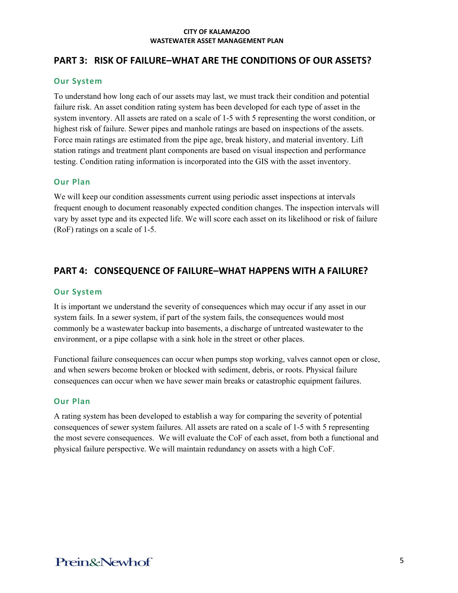# **PART 3: RISK OF FAILURE–WHAT ARE THE CONDITIONS OF OUR ASSETS?**

### **Our System**

To understand how long each of our assets may last, we must track their condition and potential failure risk. An asset condition rating system has been developed for each type of asset in the system inventory. All assets are rated on a scale of 1-5 with 5 representing the worst condition, or highest risk of failure. Sewer pipes and manhole ratings are based on inspections of the assets. Force main ratings are estimated from the pipe age, break history, and material inventory. Lift station ratings and treatment plant components are based on visual inspection and performance testing. Condition rating information is incorporated into the GIS with the asset inventory.

### **Our Plan**

We will keep our condition assessments current using periodic asset inspections at intervals frequent enough to document reasonably expected condition changes. The inspection intervals will vary by asset type and its expected life. We will score each asset on its likelihood or risk of failure (RoF) ratings on a scale of 1-5.

# **PART 4: CONSEQUENCE OF FAILURE–WHAT HAPPENS WITH A FAILURE?**

### **Our System**

It is important we understand the severity of consequences which may occur if any asset in our system fails. In a sewer system, if part of the system fails, the consequences would most commonly be a wastewater backup into basements, a discharge of untreated wastewater to the environment, or a pipe collapse with a sink hole in the street or other places.

Functional failure consequences can occur when pumps stop working, valves cannot open or close, and when sewers become broken or blocked with sediment, debris, or roots. Physical failure consequences can occur when we have sewer main breaks or catastrophic equipment failures.

### **Our Plan**

A rating system has been developed to establish a way for comparing the severity of potential consequences of sewer system failures. All assets are rated on a scale of 1-5 with 5 representing the most severe consequences. We will evaluate the CoF of each asset, from both a functional and physical failure perspective. We will maintain redundancy on assets with a high CoF.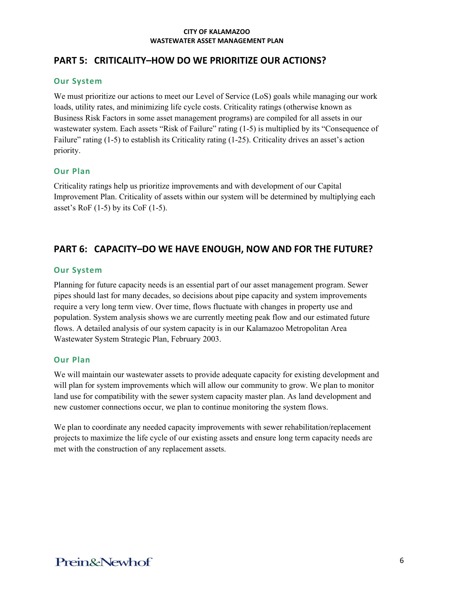# **PART 5: CRITICALITY–HOW DO WE PRIORITIZE OUR ACTIONS?**

### **Our System**

We must prioritize our actions to meet our Level of Service (LoS) goals while managing our work loads, utility rates, and minimizing life cycle costs. Criticality ratings (otherwise known as Business Risk Factors in some asset management programs) are compiled for all assets in our wastewater system. Each assets "Risk of Failure" rating (1-5) is multiplied by its "Consequence of Failure" rating (1-5) to establish its Criticality rating (1-25). Criticality drives an asset's action priority.

### **Our Plan**

Criticality ratings help us prioritize improvements and with development of our Capital Improvement Plan. Criticality of assets within our system will be determined by multiplying each asset's RoF  $(1-5)$  by its CoF  $(1-5)$ .

## **PART 6: CAPACITY–DO WE HAVE ENOUGH, NOW AND FOR THE FUTURE?**

### **Our System**

Planning for future capacity needs is an essential part of our asset management program. Sewer pipes should last for many decades, so decisions about pipe capacity and system improvements require a very long term view. Over time, flows fluctuate with changes in property use and population. System analysis shows we are currently meeting peak flow and our estimated future flows. A detailed analysis of our system capacity is in our Kalamazoo Metropolitan Area Wastewater System Strategic Plan, February 2003.

### **Our Plan**

We will maintain our wastewater assets to provide adequate capacity for existing development and will plan for system improvements which will allow our community to grow. We plan to monitor land use for compatibility with the sewer system capacity master plan. As land development and new customer connections occur, we plan to continue monitoring the system flows.

We plan to coordinate any needed capacity improvements with sewer rehabilitation/replacement projects to maximize the life cycle of our existing assets and ensure long term capacity needs are met with the construction of any replacement assets.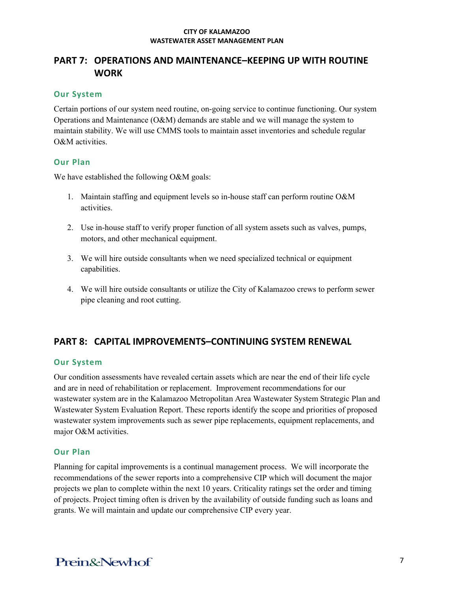# **PART 7: OPERATIONS AND MAINTENANCE–KEEPING UP WITH ROUTINE WORK**

### **Our System**

Certain portions of our system need routine, on-going service to continue functioning. Our system Operations and Maintenance (O&M) demands are stable and we will manage the system to maintain stability. We will use CMMS tools to maintain asset inventories and schedule regular O&M activities.

### **Our Plan**

We have established the following O&M goals:

- 1. Maintain staffing and equipment levels so in-house staff can perform routine O&M activities.
- 2. Use in-house staff to verify proper function of all system assets such as valves, pumps, motors, and other mechanical equipment.
- 3. We will hire outside consultants when we need specialized technical or equipment capabilities.
- 4. We will hire outside consultants or utilize the City of Kalamazoo crews to perform sewer pipe cleaning and root cutting.

# **PART 8: CAPITAL IMPROVEMENTS–CONTINUING SYSTEM RENEWAL**

### **Our System**

Our condition assessments have revealed certain assets which are near the end of their life cycle and are in need of rehabilitation or replacement. Improvement recommendations for our wastewater system are in the Kalamazoo Metropolitan Area Wastewater System Strategic Plan and Wastewater System Evaluation Report. These reports identify the scope and priorities of proposed wastewater system improvements such as sewer pipe replacements, equipment replacements, and major O&M activities.

### **Our Plan**

Planning for capital improvements is a continual management process. We will incorporate the recommendations of the sewer reports into a comprehensive CIP which will document the major projects we plan to complete within the next 10 years. Criticality ratings set the order and timing of projects. Project timing often is driven by the availability of outside funding such as loans and grants. We will maintain and update our comprehensive CIP every year.